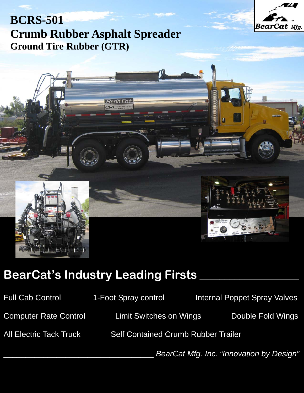

## **BCRS-501 Crumb Rubber Asphalt Spreader Ground Tire Rubber (GTR)**



# **BearCat's Industry Leading Firsts \_\_\_\_\_\_\_\_\_\_\_\_\_\_\_\_\_\_\_\_**

Full Cab Control **1-Foot Spray control 11-Foot Spray Control** Internal Poppet Spray Valves Computer Rate Control Limit Switches on Wings Double Fold Wings All Electric Tack Truck Self Contained Crumb Rubber Trailer \_\_\_\_\_\_\_\_\_\_\_\_\_\_\_\_\_\_\_\_\_\_\_\_\_\_\_\_\_\_\_\_\_\_ *BearCat Mfg. Inc. "Innovation by Design"*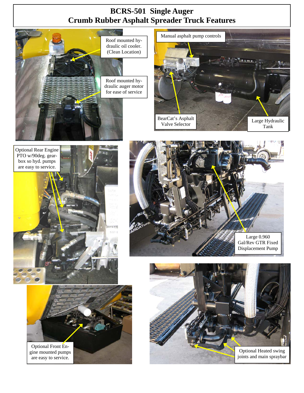## **BCRS-501 Single Auger Crumb Rubber Asphalt Spreader Truck Features**



Roof mounted hydraulic oil cooler. (Clean Location)











gine mounted pumps are easy to service.

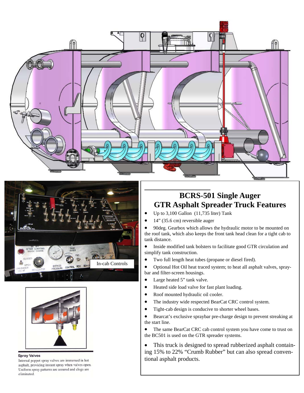





#### **Spray Valves**

Internal poppet spray valves are immersed in hot asphalt, providing instant spray when valves open. Uniform spray patterns are assured and clogs are eliminated.

### **BCRS-501 Single Auger GTR Asphalt Spreader Truck Features**

- Up to 3,100 Gallon (11,735 liter) Tank
- 14" (35.6 cm) reversible auger

**\_\_\_\_\_\_\_\_\_\_\_\_\_\_\_\_\_\_\_** 

• 90deg. Gearbox which allows the hydraulic motor to be mounted on the roof tank, which also keeps the front tank head clean for a tight cab to tank distance.

• Inside modified tank bolsters to facilitate good GTR circulation and simplify tank construction.

- Two full length heat tubes (propane or diesel fired).
- Optional Hot Oil heat traced system; to heat all asphalt valves, spraybar and filter-screen housings.
- Large heated 5" tank valve.
- Heated side load valve for fast plant loading.
- Roof mounted hydraulic oil cooler.
- The industry wide respected BearCat CRC control system.
- Tight-cab design is conducive to shorter wheel bases.
- Bearcat's exclusive spraybar pre-charge design to prevent streaking at the start line.
- The same BearCat CRC cab control system you have come to trust on the BC501 is used on the GTR spreader systems.

• This truck is designed to spread rubberized asphalt containing 15% to 22% "Crumb Rubber" but can also spread conventional asphalt products.